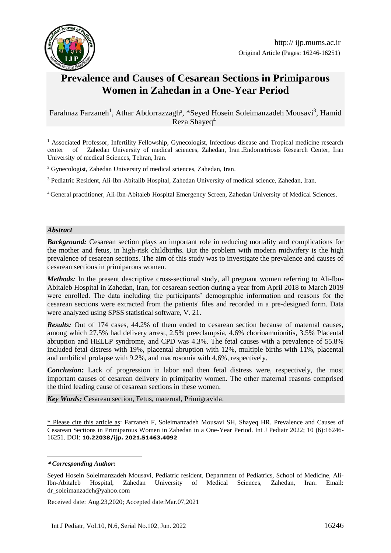

Original Article (Pages: 16246-16251)

# **Prevalence and Causes of Cesarean Sections in Primiparous Women in Zahedan in a One-Year Period**

Farahnaz Farzaneh<sup>1</sup>, Athar Abdorrazzagh<sup>2</sup>, \*Seyed Hosein Soleimanzadeh Mousavi<sup>3</sup>, Hamid Reza Shayeq<sup>4</sup>**<sup>1</sup>**

<sup>1</sup> Associated Professor, Infertility Fellowship, Gynecologist, Infectious disease and Tropical medicine research center of Zahedan University of medical sciences, Zahedan, Iran **.**Endometriosis Research Center, Iran University of medical Sciences, Tehran, Iran.

<sup>2</sup> Gynecologist, Zahedan University of medical sciences, Zahedan, Iran.

<sup>3</sup> Pediatric Resident, Ali-Ibn-Abitalib Hospital, Zahedan University of medical science, Zahedan, Iran.

<sup>4</sup> General practitioner, Ali-Ibn-Abitaleb Hospital Emergency Screen, Zahedan University of Medical Sciences.

#### *Abstract*

*Background:* Cesarean section plays an important role in reducing mortality and complications for the mother and fetus, in high-risk childbirths. But the problem with modern midwifery is the high prevalence of cesarean sections. The aim of this study was to investigate the prevalence and causes of cesarean sections in primiparous women.

*Methods:* In the present descriptive cross-sectional study, all pregnant women referring to Ali-Ibn-Abitaleb Hospital in Zahedan, Iran, for cesarean section during a year from April 2018 to March 2019 were enrolled. The data including the participants' demographic information and reasons for the cesarean sections were extracted from the patients' files and recorded in a pre-designed form. Data were analyzed using SPSS statistical software, V. 21.

*Results:* Out of 174 cases, 44.2% of them ended to cesarean section because of maternal causes, among which 27.5% had delivery arrest, 2.5% preeclampsia, 4.6% chorioamnionitis, 3.5% Placental abruption and HELLP syndrome, and CPD was 4.3%. The fetal causes with a prevalence of 55.8% included fetal distress with 19%, placental abruption with 12%, multiple births with 11%, placental and umbilical prolapse with 9.2%, and macrosomia with 4.6%, respectively.

*Conclusion:* Lack of progression in labor and then fetal distress were, respectively, the most important causes of cesarean delivery in primiparity women. The other maternal reasons comprised the third leading cause of cesarean sections in these women.

*Key Words:* Cesarean section, Fetus, maternal, Primigravida.

\* Please cite this article as: Farzaneh F, Soleimanzadeh Mousavi SH, Shayeq HR. Prevalence and Causes of Cesarean Sections in Primiparous Women in Zahedan in a One-Year Period. Int J Pediatr 2022; 10 (6):16246- 16251. DOI: **10.22038/ijp. 2021.51463.4092**

<u>.</u>

Received date: Aug.23,2020; Accepted date:Mar.07,2021

**<sup>\*</sup>** *Corresponding Author:*

Seyed Hosein Soleimanzadeh Mousavi, Pediatric resident, Department of Pediatrics, School of Medicine, Ali-Ibn-Abitaleb Hospital, Zahedan University of Medical Sciences, Zahedan, Iran. Email: dr\_soleimanzadeh@yahoo.com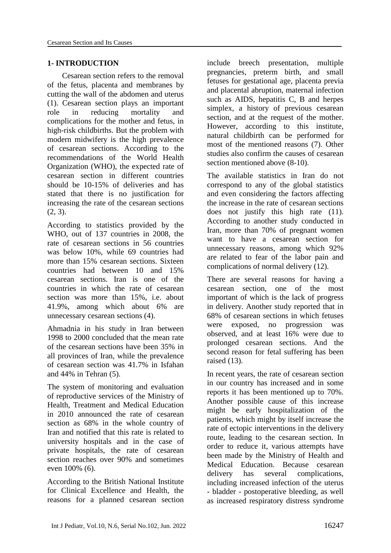# **1- INTRODUCTION**

Cesarean section refers to the removal of the fetus, placenta and membranes by cutting the wall of the abdomen and uterus (1). Cesarean section plays an important role in reducing mortality and complications for the mother and fetus, in high-risk childbirths. But the problem with modern midwifery is the high prevalence of cesarean sections. According to the recommendations of the World Health Organization (WHO), the expected rate of cesarean section in different countries should be 10-15% of deliveries and has stated that there is no justification for increasing the rate of the cesarean sections (2, 3).

According to statistics provided by the WHO, out of 137 countries in 2008, the rate of cesarean sections in 56 countries was below 10%, while 69 countries had more than 15% cesarean sections. Sixteen countries had between 10 and 15% cesarean sections. Iran is one of the countries in which the rate of cesarean section was more than 15%, i.e. about 41.9%, among which about 6% are unnecessary cesarean sections (4).

Ahmadnia in his study in Iran between 1998 to 2000 concluded that the mean rate of the cesarean sections have been 35% in all provinces of Iran, while the prevalence of cesarean section was 41.7% in Isfahan and 44% in Tehran (5).

The system of monitoring and evaluation of reproductive services of the Ministry of Health, Treatment and Medical Education in 2010 announced the rate of cesarean section as 68% in the whole country of Iran and notified that this rate is related to university hospitals and in the case of private hospitals, the rate of cesarean section reaches over 90% and sometimes even 100% (6).

According to the British National Institute for Clinical Excellence and Health, the reasons for a planned cesarean section include breech presentation, multiple pregnancies, preterm birth, and small fetuses for gestational age, placenta previa and placental abruption, maternal infection such as AIDS, hepatitis C, B and herpes simplex, a history of previous cesarean section, and at the request of the mother. However, according to this institute, natural childbirth can be performed for most of the mentioned reasons (7). Other studies also confirm the causes of cesarean section mentioned above (8-10).

The available statistics in Iran do not correspond to any of the global statistics and even considering the factors affecting the increase in the rate of cesarean sections does not justify this high rate (11). According to another study conducted in Iran, more than 70% of pregnant women want to have a cesarean section for unnecessary reasons, among which 92% are related to fear of the labor pain and complications of normal delivery (12).

There are several reasons for having a cesarean section, one of the most important of which is the lack of progress in delivery. Another study reported that in 68% of cesarean sections in which fetuses were exposed, no progression was observed, and at least 16% were due to prolonged cesarean sections. And the second reason for fetal suffering has been raised (13).

In recent years, the rate of cesarean section in our country has increased and in some reports it has been mentioned up to 70%. Another possible cause of this increase might be early hospitalization of the patients, which might by itself increase the rate of ectopic interventions in the delivery route, leading to the cesarean section. In order to reduce it, various attempts have been made by the Ministry of Health and Medical Education. Because cesarean delivery has several complications, including increased infection of the uterus - bladder - postoperative bleeding, as well as increased respiratory distress syndrome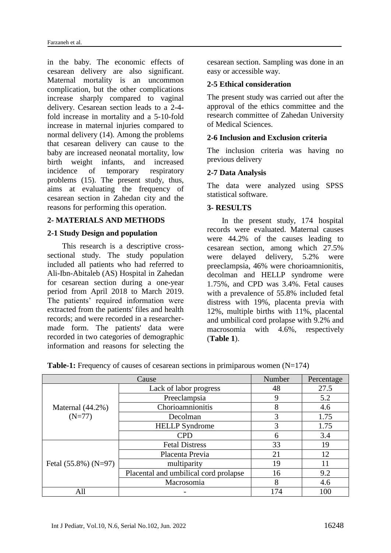in the baby. The economic effects of cesarean delivery are also significant. Maternal mortality is an uncommon complication, but the other complications increase sharply compared to vaginal delivery. Cesarean section leads to a 2-4 fold increase in mortality and a 5-10-fold increase in maternal injuries compared to normal delivery (14). Among the problems that cesarean delivery can cause to the baby are increased neonatal mortality, low birth weight infants, and increased incidence of temporary respiratory problems (15). The present study, thus, aims at evaluating the frequency of cesarean section in Zahedan city and the reasons for performing this operation.

# **2- MATERIALS AND METHODS**

# **2-1 Study Design and population**

This research is a descriptive crosssectional study. The study population included all patients who had referred to Ali-Ibn-Abitaleb (AS) Hospital in Zahedan for cesarean section during a one-year period from April 2018 to March 2019. The patients' required information were extracted from the patients' files and health records; and were recorded in a researchermade form. The patients' data were recorded in two categories of demographic information and reasons for selecting the

cesarean section. Sampling was done in an easy or accessible way.

### **2-5 Ethical consideration**

The present study was carried out after the approval of the ethics committee and the research committee of Zahedan University of Medical Sciences.

### **2-6 Inclusion and Exclusion criteria**

The inclusion criteria was having no previous delivery

### **2-7 Data Analysis**

The data were analyzed using SPSS statistical software.

#### **3- RESULTS**

In the present study, 174 hospital records were evaluated. Maternal causes were 44.2% of the causes leading to cesarean section, among which 27.5% were delayed delivery, 5.2% were preeclampsia, 46% were chorioamnionitis, decolman and HELLP syndrome were 1.75%, and CPD was 3.4%. Fetal causes with a prevalence of 55.8% included fetal distress with 19%, placenta previa with 12%, multiple births with 11%, placental and umbilical cord prolapse with 9.2% and macrosomia with 4.6%, respectively (**Table 1**).

| Cause                           |                                       | Number | Percentage |
|---------------------------------|---------------------------------------|--------|------------|
| Maternal $(44.2\%)$<br>$(N=77)$ | Lack of labor progress                | 48     | 27.5       |
|                                 | Preeclampsia                          |        | 5.2        |
|                                 | Chorioamnionitis                      | 8      | 4.6        |
|                                 | Decolman                              | 3      | 1.75       |
|                                 | <b>HELLP</b> Syndrome                 | 3      | 1.75       |
|                                 | <b>CPD</b>                            |        | 3.4        |
| Fetal $(55.8\%)$ (N=97)         | <b>Fetal Distress</b>                 | 33     | 19         |
|                                 | Placenta Previa                       | 21     | 12         |
|                                 | multiparity                           | 19     |            |
|                                 | Placental and umbilical cord prolapse | 16     | 9.2        |
|                                 | Macrosomia                            | 8      | 4.6        |
| All                             |                                       | 174    | 100        |

|  | <b>Table-1:</b> Frequency of causes of cesarean sections in primiparous women $(N=174)$ |  |
|--|-----------------------------------------------------------------------------------------|--|
|  |                                                                                         |  |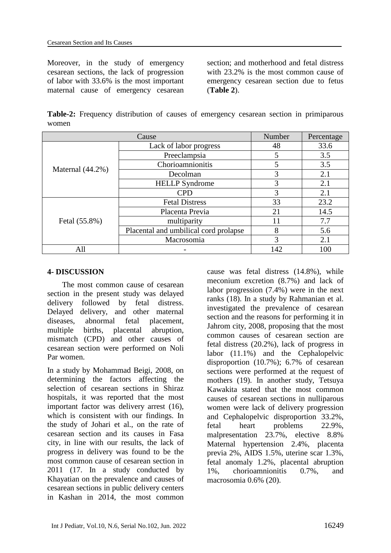Moreover, in the study of emergency cesarean sections, the lack of progression of labor with 33.6% is the most important maternal cause of emergency cesarean

section; and motherhood and fetal distress with 23.2% is the most common cause of emergency cesarean section due to fetus (**Table 2**).

**Table-2:** Frequency distribution of causes of emergency cesarean section in primiparous women

| Cause            |                                       | Number | Percentage |
|------------------|---------------------------------------|--------|------------|
| Maternal (44.2%) | Lack of labor progress                | 48     | 33.6       |
|                  | Preeclampsia                          | 5      | 3.5        |
|                  | Chorioamnionitis                      |        | 3.5        |
|                  | Decolman                              | 3      | 2.1        |
|                  | <b>HELLP</b> Syndrome                 | 3      | 2.1        |
|                  | <b>CPD</b>                            | 3      | 2.1        |
| Fetal (55.8%)    | <b>Fetal Distress</b>                 | 33     | 23.2       |
|                  | Placenta Previa                       | 21     | 14.5       |
|                  | multiparity                           | 11     | 7.7        |
|                  | Placental and umbilical cord prolapse | 8      | 5.6        |
|                  | Macrosomia                            | 3      | 2.1        |
| All              |                                       | 142    | 100        |

# **4- DISCUSSION**

The most common cause of cesarean section in the present study was delayed delivery followed by fetal distress. Delayed delivery, and other maternal diseases, abnormal fetal placement, multiple births, placental abruption, mismatch (CPD) and other causes of cesarean section were performed on Noli Par women.

In a study by Mohammad Beigi, 2008, on determining the factors affecting the selection of cesarean sections in Shiraz hospitals, it was reported that the most important factor was delivery arrest (16), which is consistent with our findings. In the study of Johari et al., on the rate of cesarean section and its causes in Fasa city, in line with our results, the lack of progress in delivery was found to be the most common cause of cesarean section in 2011 (17. In a study conducted by Khayatian on the prevalence and causes of cesarean sections in public delivery centers in Kashan in 2014, the most common cause was fetal distress (14.8%), while meconium excretion (8.7%) and lack of labor progression (7.4%) were in the next ranks (18). In a study by Rahmanian et al. investigated the prevalence of cesarean section and the reasons for performing it in Jahrom city, 2008, proposing that the most common causes of cesarean section are fetal distress (20.2%), lack of progress in labor (11.1%) and the Cephalopelvic disproportion (10.7%); 6.7% of cesarean sections were performed at the request of mothers (19). In another study, Tetsuya Kawakita stated that the most common causes of cesarean sections in nulliparous women were lack of delivery progression and Cephalopelvic disproportion 33.2%, fetal heart problems 22.9%, malpresentation 23.7%, elective 8.8% Maternal hypertension 2.4%, placenta previa 2%, AIDS 1.5%, uterine scar 1.3%, fetal anomaly 1.2%, placental abruption 1%, chorioamnionitis 0.7%, and macrosomia 0.6% (20).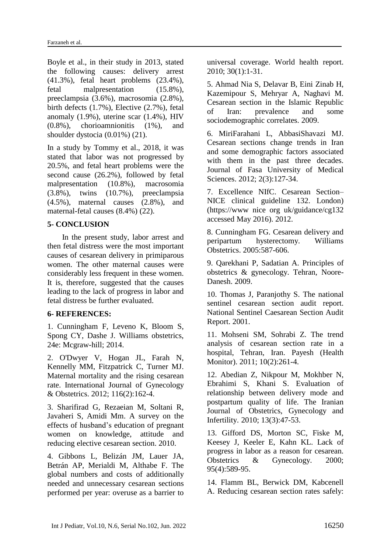Boyle et al., in their study in 2013, stated the following causes: delivery arrest (41.3%), fetal heart problems (23.4%), fetal malpresentation (15.8%), preeclampsia (3.6%), macrosomia (2.8%), birth defects (1.7%), Elective (2.7%), fetal anomaly (1.9%), uterine scar (1.4%), HIV (0.8%), chorioamnionitis (1%), and shoulder dystocia (0.01%) (21).

In a study by Tommy et al., 2018, it was stated that labor was not progressed by 20.5%, and fetal heart problems were the second cause (26.2%), followed by fetal malpresentation (10.8%), macrosomia (3.8%), twins (10.7%), preeclampsia (4.5%), maternal causes (2.8%), and maternal-fetal causes (8.4%) (22).

# **5- CONCLUSION**

In the present study, labor arrest and then fetal distress were the most important causes of cesarean delivery in primiparous women. The other maternal causes were considerably less frequent in these women. It is, therefore, suggested that the causes leading to the lack of progress in labor and fetal distress be further evaluated.

### **6- REFERENCES:**

1. Cunningham F, Leveno K, Bloom S, Spong CY, Dashe J. Williams obstetrics, 24e: Mcgraw-hill; 2014.

2. O'Dwyer V, Hogan JL, Farah N, Kennelly MM, Fitzpatrick C, Turner MJ. Maternal mortality and the rising cesarean rate. International Journal of Gynecology & Obstetrics. 2012; 116(2):162-4.

3. Sharifirad G, Rezaeian M, Soltani R, Javaheri S, Amidi Mm. A survey on the effects of husband's education of pregnant women on knowledge, attitude and reducing elective cesarean section. 2010.

4. Gibbons L, Belizán JM, Lauer JA, Betrán AP, Merialdi M, Althabe F. The global numbers and costs of additionally needed and unnecessary cesarean sections performed per year: overuse as a barrier to universal coverage. World health report. 2010; 30(1):1-31.

5. Ahmad Nia S, Delavar B, Eini Zinab H, Kazemipour S, Mehryar A, Naghavi M. Cesarean section in the Islamic Republic of Iran: prevalence and some sociodemographic correlates. 2009.

6. MiriFarahani L, AbbasiShavazi MJ. Cesarean sections change trends in Iran and some demographic factors associated with them in the past three decades. Journal of Fasa University of Medical Sciences. 2012; 2(3):127-34.

7. Excellence NIfC. Cesarean Section– NICE clinical guideline 132. London) [\(https://www](https://www/) nice org uk/guidance/cg132 accessed May 2016). 2012.

8. Cunningham FG. Cesarean delivery and peripartum hysterectomy. Williams Obstetrics. 2005:587-606.

9. Qarekhani P, Sadatian A. Principles of obstetrics & gynecology. Tehran, Noore-Danesh. 2009.

10. Thomas J, Paranjothy S. The national sentinel cesarean section audit report. National Sentinel Caesarean Section Audit Report. 2001.

11. Mohseni SM, Sohrabi Z. The trend analysis of cesarean section rate in a hospital, Tehran, Iran. Payesh (Health Monitor). 2011; 10(2):261-4.

12. Abedian Z, Nikpour M, Mokhber N, Ebrahimi S, Khani S. Evaluation of relationship between delivery mode and postpartum quality of life. The Iranian Journal of Obstetrics, Gynecology and Infertility. 2010; 13(3):47-53.

13. Gifford DS, Morton SC, Fiske M, Keesey J, Keeler E, Kahn KL. Lack of progress in labor as a reason for cesarean. Obstetrics & Gynecology. 2000; 95(4):589-95.

14. Flamm BL, Berwick DM, Kabcenell A. Reducing cesarean section rates safely: